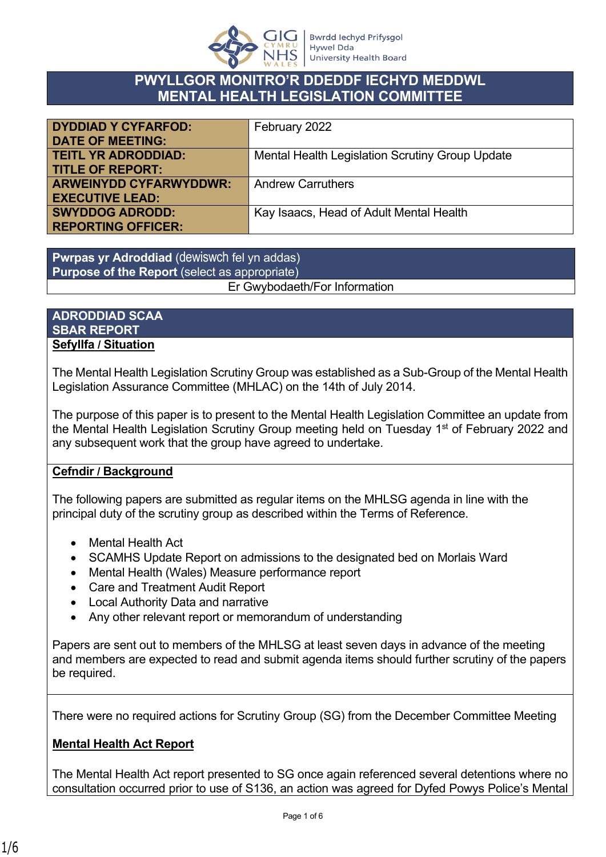

## **PWYLLGOR MONITRO'R DDEDDF IECHYD MEDDWL MENTAL HEALTH LEGISLATION COMMITTEE**

| <b>DYDDIAD Y CYFARFOD:</b>    | February 2022                                   |
|-------------------------------|-------------------------------------------------|
| <b>DATE OF MEETING:</b>       |                                                 |
| <b>TEITL YR ADRODDIAD:</b>    | Mental Health Legislation Scrutiny Group Update |
| <b>TITLE OF REPORT:</b>       |                                                 |
| <b>ARWEINYDD CYFARWYDDWR:</b> | <b>Andrew Carruthers</b>                        |
| <b>EXECUTIVE LEAD:</b>        |                                                 |
| <b>SWYDDOG ADRODD:</b>        | Kay Isaacs, Head of Adult Mental Health         |
| <b>REPORTING OFFICER:</b>     |                                                 |

**Pwrpas yr Adroddiad** (dewiswch fel yn addas) **Purpose of the Report** (select as appropriate) Er Gwybodaeth/For Information

#### **ADRODDIAD SCAA SBAR REPORT Sefyllfa / Situation**

The Mental Health Legislation Scrutiny Group was established as a Sub-Group of the Mental Health Legislation Assurance Committee (MHLAC) on the 14th of July 2014.

The purpose of this paper is to present to the Mental Health Legislation Committee an update from the Mental Health Legislation Scrutiny Group meeting held on Tuesday 1<sup>st</sup> of February 2022 and any subsequent work that the group have agreed to undertake.

#### **Cefndir / Background**

The following papers are submitted as regular items on the MHLSG agenda in line with the principal duty of the scrutiny group as described within the Terms of Reference.

- Mental Health Act
- SCAMHS Update Report on admissions to the designated bed on Morlais Ward
- Mental Health (Wales) Measure performance report
- Care and Treatment Audit Report
- Local Authority Data and narrative
- Any other relevant report or memorandum of understanding

Papers are sent out to members of the MHLSG at least seven days in advance of the meeting and members are expected to read and submit agenda items should further scrutiny of the papers be required.

There were no required actions for Scrutiny Group (SG) from the December Committee Meeting

### **Mental Health Act Report**

The Mental Health Act report presented to SG once again referenced several detentions where no consultation occurred prior to use of S136, an action was agreed for Dyfed Powys Police's Mental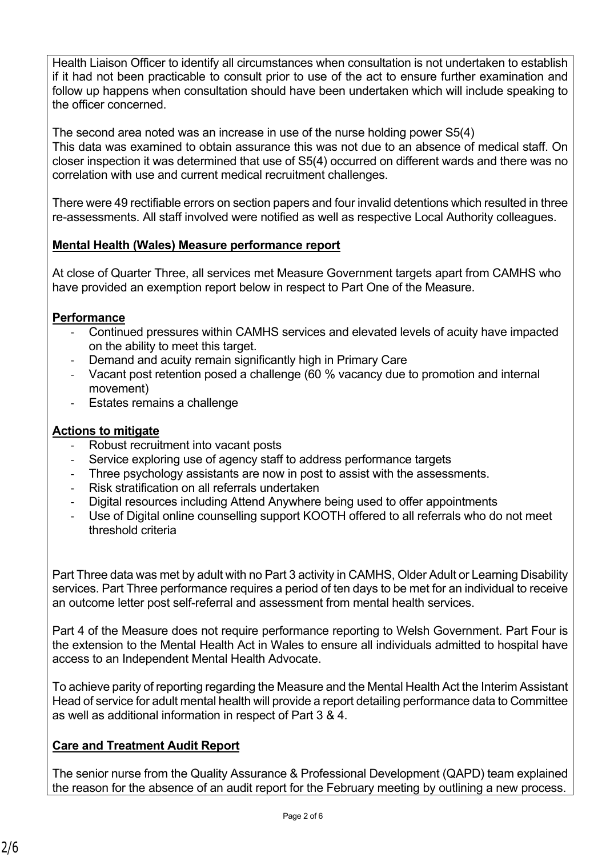Health Liaison Officer to identify all circumstances when consultation is not undertaken to establish if it had not been practicable to consult prior to use of the act to ensure further examination and follow up happens when consultation should have been undertaken which will include speaking to the officer concerned.

The second area noted was an increase in use of the nurse holding power S5(4) This data was examined to obtain assurance this was not due to an absence of medical staff. On closer inspection it was determined that use of S5(4) occurred on different wards and there was no correlation with use and current medical recruitment challenges.

There were 49 rectifiable errors on section papers and four invalid detentions which resulted in three re-assessments. All staff involved were notified as well as respective Local Authority colleagues.

### **Mental Health (Wales) Measure performance report**

At close of Quarter Three, all services met Measure Government targets apart from CAMHS who have provided an exemption report below in respect to Part One of the Measure.

### **Performance**

- Continued pressures within CAMHS services and elevated levels of acuity have impacted on the ability to meet this target.
- Demand and acuity remain significantly high in Primary Care
- Vacant post retention posed a challenge (60 % vacancy due to promotion and internal movement)
- Estates remains a challenge

### **Actions to mitigate**

- Robust recruitment into vacant posts
- Service exploring use of agency staff to address performance targets
- Three psychology assistants are now in post to assist with the assessments.
- Risk stratification on all referrals undertaken
- Digital resources including Attend Anywhere being used to offer appointments
- Use of Digital online counselling support KOOTH offered to all referrals who do not meet threshold criteria

Part Three data was met by adult with no Part 3 activity in CAMHS, Older Adult or Learning Disability services. Part Three performance requires a period of ten days to be met for an individual to receive an outcome letter post self-referral and assessment from mental health services.

Part 4 of the Measure does not require performance reporting to Welsh Government. Part Four is the extension to the Mental Health Act in Wales to ensure all individuals admitted to hospital have access to an Independent Mental Health Advocate.

To achieve parity of reporting regarding the Measure and the Mental Health Act the Interim Assistant Head of service for adult mental health will provide a report detailing performance data to Committee as well as additional information in respect of Part 3 & 4.

# **Care and Treatment Audit Report**

The senior nurse from the Quality Assurance & Professional Development (QAPD) team explained the reason for the absence of an audit report for the February meeting by outlining a new process.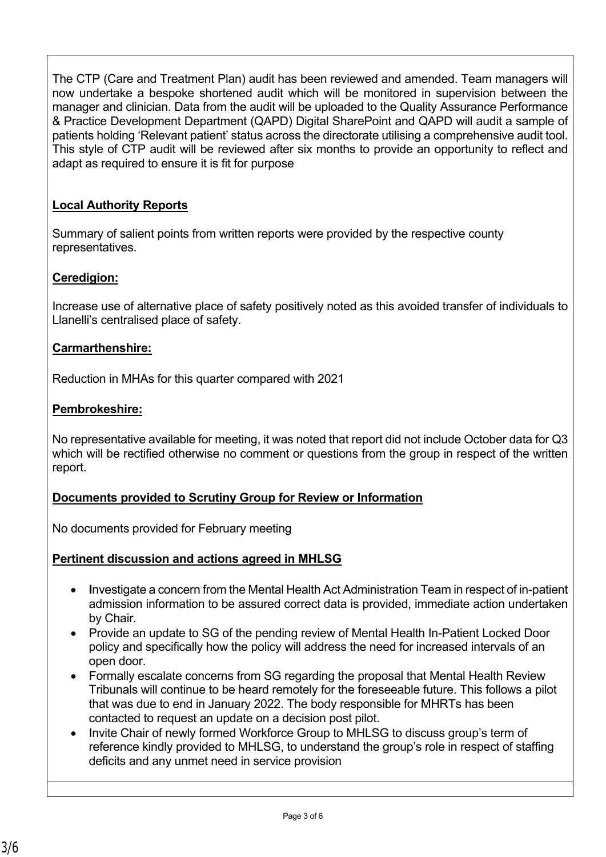The CTP (Care and Treatment Plan) audit has been reviewed and amended. Team managers will now undertake a bespoke shortened audit which will be monitored in supervision between the manager and clinician. Data from the audit will be uploaded to the Quality Assurance Performance & Practice Development Department (QAPD) Digital SharePoint and QAPD will audit a sample of patients holding 'Relevant patient' status across the directorate utilising a comprehensive audit tool. This style of CTP audit will be reviewed after six months to provide an opportunity to reflect and adapt as required to ensure it is fit for purpose

### **Local Authority Reports**

Summary of salient points from written reports were provided by the respective county representatives.

### **Ceredigion:**

Increase use of alternative place of safety positively noted as this avoided transfer of individuals to Llanelli's centralised place of safety.

#### **Carmarthenshire:**

Reduction in MHAs for this quarter compared with 2021

### **Pembrokeshire:**

No representative available for meeting, it was noted that report did not include October data for Q3 which will be rectified otherwise no comment or questions from the group in respect of the written report.

#### **Documents provided to Scrutiny Group for Review or Information**

No documents provided for February meeting

#### **Pertinent discussion and actions agreed in MHLSG**

- **I**nvestigate a concern from the Mental Health Act Administration Team in respect of in-patient admission information to be assured correct data is provided, immediate action undertaken by Chair.
- Provide an update to SG of the pending review of Mental Health In-Patient Locked Door policy and specifically how the policy will address the need for increased intervals of an open door.
- Formally escalate concerns from SG regarding the proposal that Mental Health Review Tribunals will continue to be heard remotely for the foreseeable future. This follows a pilot that was due to end in January 2022. The body responsible for MHRTs has been contacted to request an update on a decision post pilot.
- Invite Chair of newly formed Workforce Group to MHLSG to discuss group's term of reference kindly provided to MHLSG, to understand the group's role in respect of staffing deficits and any unmet need in service provision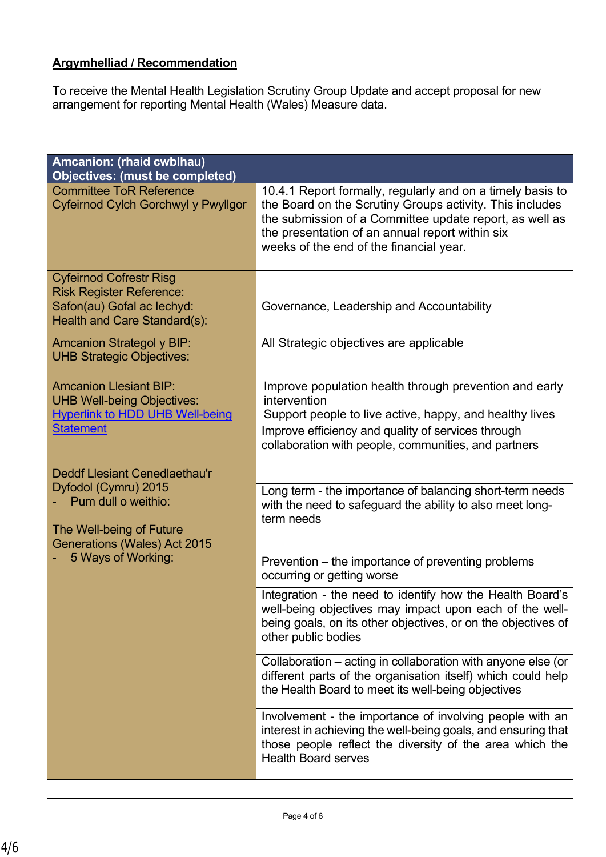# **Argymhelliad / Recommendation**

To receive the Mental Health Legislation Scrutiny Group Update and accept proposal for new arrangement for reporting Mental Health (Wales) Measure data.

| <b>Amcanion: (rhaid cwblhau)</b><br><b>Objectives: (must be completed)</b>                                                                                            |                                                                                                                                                                                                                                                                                 |
|-----------------------------------------------------------------------------------------------------------------------------------------------------------------------|---------------------------------------------------------------------------------------------------------------------------------------------------------------------------------------------------------------------------------------------------------------------------------|
| <b>Committee ToR Reference</b><br>Cyfeirnod Cylch Gorchwyl y Pwyllgor                                                                                                 | 10.4.1 Report formally, regularly and on a timely basis to<br>the Board on the Scrutiny Groups activity. This includes<br>the submission of a Committee update report, as well as<br>the presentation of an annual report within six<br>weeks of the end of the financial year. |
| <b>Cyfeirnod Cofrestr Risg</b><br><b>Risk Register Reference:</b>                                                                                                     |                                                                                                                                                                                                                                                                                 |
| Safon(au) Gofal ac lechyd:<br>Health and Care Standard(s):                                                                                                            | Governance, Leadership and Accountability                                                                                                                                                                                                                                       |
| <b>Amcanion Strategol y BIP:</b><br><b>UHB Strategic Objectives:</b>                                                                                                  | All Strategic objectives are applicable                                                                                                                                                                                                                                         |
| <b>Amcanion Llesiant BIP:</b><br><b>UHB Well-being Objectives:</b><br><b>Hyperlink to HDD UHB Well-being</b><br><b>Statement</b>                                      | Improve population health through prevention and early<br>intervention<br>Support people to live active, happy, and healthy lives<br>Improve efficiency and quality of services through<br>collaboration with people, communities, and partners                                 |
| <b>Deddf Llesiant Cenedlaethau'r</b><br>Dyfodol (Cymru) 2015<br>Pum dull o weithio:<br>The Well-being of Future<br>Generations (Wales) Act 2015<br>5 Ways of Working: | Long term - the importance of balancing short-term needs<br>with the need to safeguard the ability to also meet long-<br>term needs                                                                                                                                             |
|                                                                                                                                                                       | Prevention – the importance of preventing problems<br>occurring or getting worse                                                                                                                                                                                                |
|                                                                                                                                                                       | Integration - the need to identify how the Health Board's<br>well-being objectives may impact upon each of the well-<br>being goals, on its other objectives, or on the objectives of<br>other public bodies                                                                    |
|                                                                                                                                                                       | Collaboration - acting in collaboration with anyone else (or<br>different parts of the organisation itself) which could help<br>the Health Board to meet its well-being objectives                                                                                              |
|                                                                                                                                                                       | Involvement - the importance of involving people with an<br>interest in achieving the well-being goals, and ensuring that<br>those people reflect the diversity of the area which the<br><b>Health Board serves</b>                                                             |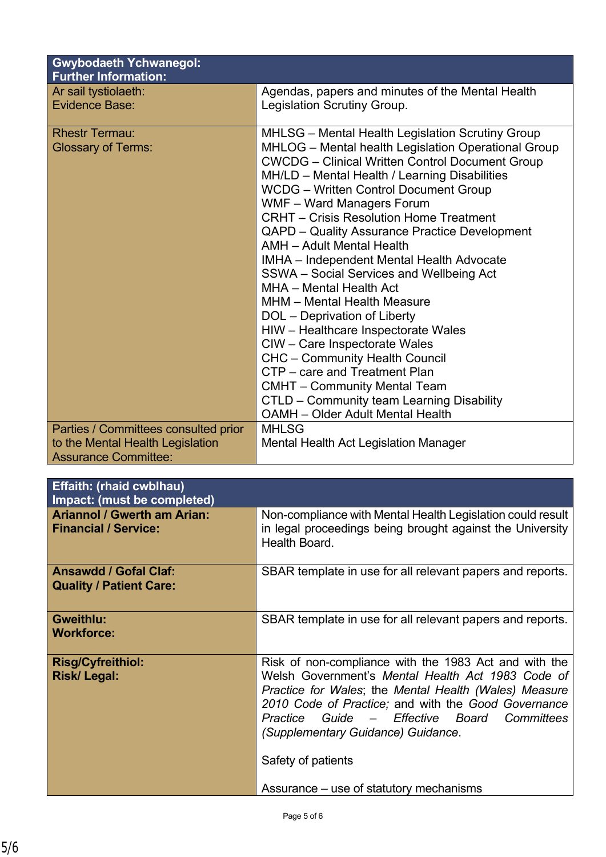| <b>Gwybodaeth Ychwanegol:</b><br><b>Further Information:</b> |                                                                                                                                                                                                                                                                                                                                                                                                                                                                                                                                                                                                                                                                                                                                                                                                                                                                                                                   |  |
|--------------------------------------------------------------|-------------------------------------------------------------------------------------------------------------------------------------------------------------------------------------------------------------------------------------------------------------------------------------------------------------------------------------------------------------------------------------------------------------------------------------------------------------------------------------------------------------------------------------------------------------------------------------------------------------------------------------------------------------------------------------------------------------------------------------------------------------------------------------------------------------------------------------------------------------------------------------------------------------------|--|
| Ar sail tystiolaeth:                                         | Agendas, papers and minutes of the Mental Health                                                                                                                                                                                                                                                                                                                                                                                                                                                                                                                                                                                                                                                                                                                                                                                                                                                                  |  |
| <b>Evidence Base:</b>                                        | Legislation Scrutiny Group.                                                                                                                                                                                                                                                                                                                                                                                                                                                                                                                                                                                                                                                                                                                                                                                                                                                                                       |  |
| <b>Rhestr Termau:</b><br><b>Glossary of Terms:</b>           | <b>MHLSG</b> – Mental Health Legislation Scrutiny Group<br>MHLOG - Mental health Legislation Operational Group<br><b>CWCDG</b> – Clinical Written Control Document Group<br>MH/LD - Mental Health / Learning Disabilities<br><b>WCDG</b> – Written Control Document Group<br>WMF - Ward Managers Forum<br><b>CRHT</b> – Crisis Resolution Home Treatment<br>QAPD – Quality Assurance Practice Development<br><b>AMH</b> - Adult Mental Health<br>IMHA - Independent Mental Health Advocate<br>SSWA - Social Services and Wellbeing Act<br>MHA - Mental Health Act<br>MHM - Mental Health Measure<br>DOL - Deprivation of Liberty<br>HIW - Healthcare Inspectorate Wales<br>CIW - Care Inspectorate Wales<br><b>CHC</b> - Community Health Council<br>CTP – care and Treatment Plan<br><b>CMHT</b> – Community Mental Team<br>CTLD - Community team Learning Disability<br><b>OAMH</b> – Older Adult Mental Health |  |
| Parties / Committees consulted prior                         | <b>MHLSG</b>                                                                                                                                                                                                                                                                                                                                                                                                                                                                                                                                                                                                                                                                                                                                                                                                                                                                                                      |  |
| to the Mental Health Legislation                             | Mental Health Act Legislation Manager                                                                                                                                                                                                                                                                                                                                                                                                                                                                                                                                                                                                                                                                                                                                                                                                                                                                             |  |
| <b>Assurance Committee:</b>                                  |                                                                                                                                                                                                                                                                                                                                                                                                                                                                                                                                                                                                                                                                                                                                                                                                                                                                                                                   |  |

| <b>Effaith: (rhaid cwblhau)</b><br>Impact: (must be completed)    |                                                                                                                                                                                                                                                                                                                                       |
|-------------------------------------------------------------------|---------------------------------------------------------------------------------------------------------------------------------------------------------------------------------------------------------------------------------------------------------------------------------------------------------------------------------------|
| <b>Ariannol / Gwerth am Arian:</b><br><b>Financial / Service:</b> | Non-compliance with Mental Health Legislation could result<br>in legal proceedings being brought against the University<br>Health Board.                                                                                                                                                                                              |
| <b>Ansawdd / Gofal Claf:</b><br><b>Quality / Patient Care:</b>    | SBAR template in use for all relevant papers and reports.                                                                                                                                                                                                                                                                             |
| <b>Gweithlu:</b><br><b>Workforce:</b>                             | SBAR template in use for all relevant papers and reports.                                                                                                                                                                                                                                                                             |
| <b>Risg/Cyfreithiol:</b><br>Risk/Legal:                           | Risk of non-compliance with the 1983 Act and with the<br>Welsh Government's Mental Health Act 1983 Code of<br>Practice for Wales; the Mental Health (Wales) Measure<br>2010 Code of Practice; and with the Good Governance<br>Practice Guide - Effective Board Committees<br>(Supplementary Guidance) Guidance.<br>Safety of patients |
|                                                                   | Assurance – use of statutory mechanisms                                                                                                                                                                                                                                                                                               |